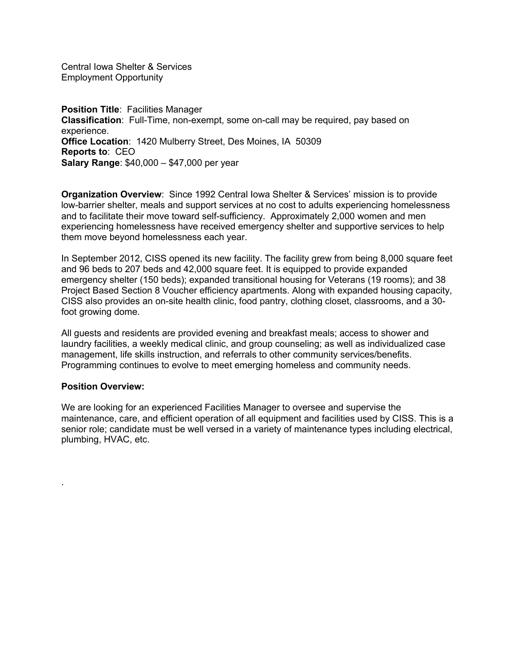Central Iowa Shelter & Services Employment Opportunity

**Position Title**: Facilities Manager **Classification**: Full-Time, non-exempt, some on-call may be required, pay based on experience. **Office Location**: 1420 Mulberry Street, Des Moines, IA 50309 **Reports to**: CEO **Salary Range**: \$40,000 – \$47,000 per year

**Organization Overview**: Since 1992 Central Iowa Shelter & Services' mission is to provide low-barrier shelter, meals and support services at no cost to adults experiencing homelessness and to facilitate their move toward self-sufficiency. Approximately 2,000 women and men experiencing homelessness have received emergency shelter and supportive services to help them move beyond homelessness each year.

In September 2012, CISS opened its new facility. The facility grew from being 8,000 square feet and 96 beds to 207 beds and 42,000 square feet. It is equipped to provide expanded emergency shelter (150 beds); expanded transitional housing for Veterans (19 rooms); and 38 Project Based Section 8 Voucher efficiency apartments. Along with expanded housing capacity, CISS also provides an on-site health clinic, food pantry, clothing closet, classrooms, and a 30 foot growing dome.

All guests and residents are provided evening and breakfast meals; access to shower and laundry facilities, a weekly medical clinic, and group counseling; as well as individualized case management, life skills instruction, and referrals to other community services/benefits. Programming continues to evolve to meet emerging homeless and community needs.

#### **Position Overview:**

.

We are looking for an experienced Facilities Manager to oversee and supervise the maintenance, care, and efficient operation of all equipment and facilities used by CISS. This is a senior role; candidate must be well versed in a variety of maintenance types including electrical, plumbing, HVAC, etc.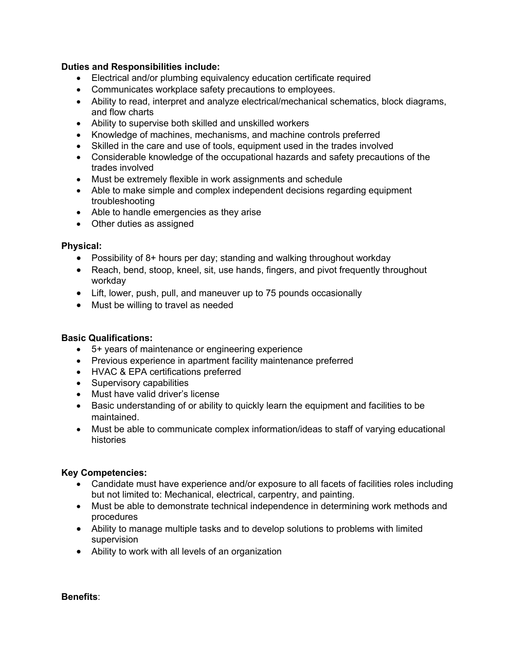#### **Duties and Responsibilities include:**

- Electrical and/or plumbing equivalency education certificate required
- Communicates workplace safety precautions to employees.
- Ability to read, interpret and analyze electrical/mechanical schematics, block diagrams, and flow charts
- Ability to supervise both skilled and unskilled workers
- Knowledge of machines, mechanisms, and machine controls preferred
- Skilled in the care and use of tools, equipment used in the trades involved
- Considerable knowledge of the occupational hazards and safety precautions of the trades involved
- Must be extremely flexible in work assignments and schedule
- Able to make simple and complex independent decisions regarding equipment troubleshooting
- Able to handle emergencies as they arise
- Other duties as assigned

## **Physical:**

- Possibility of 8+ hours per day; standing and walking throughout workday
- Reach, bend, stoop, kneel, sit, use hands, fingers, and pivot frequently throughout workday
- Lift, lower, push, pull, and maneuver up to 75 pounds occasionally
- Must be willing to travel as needed

# **Basic Qualifications:**

- 5+ years of maintenance or engineering experience
- Previous experience in apartment facility maintenance preferred
- HVAC & EPA certifications preferred
- Supervisory capabilities
- Must have valid driver's license
- Basic understanding of or ability to quickly learn the equipment and facilities to be maintained.
- Must be able to communicate complex information/ideas to staff of varying educational histories

## **Key Competencies:**

- Candidate must have experience and/or exposure to all facets of facilities roles including but not limited to: Mechanical, electrical, carpentry, and painting.
- Must be able to demonstrate technical independence in determining work methods and procedures
- Ability to manage multiple tasks and to develop solutions to problems with limited supervision
- Ability to work with all levels of an organization

**Benefits**: